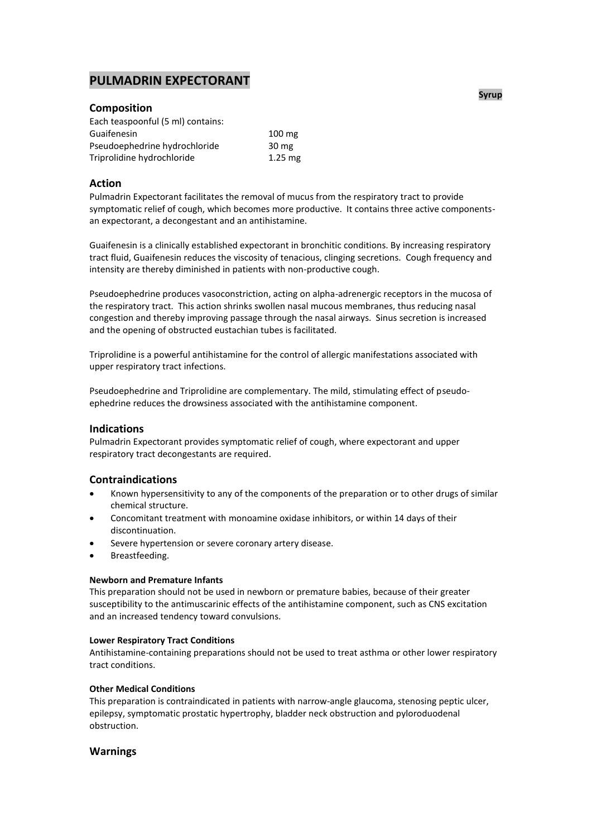# **PULMADRIN EXPECTORANT**

## **Composition**

| $100 \text{ mg}$ |
|------------------|
| 30 mg            |
| $1.25$ mg        |
|                  |

## **Action**

Pulmadrin Expectorant facilitates the removal of mucus from the respiratory tract to provide symptomatic relief of cough, which becomes more productive. It contains three active componentsan expectorant, a decongestant and an antihistamine.

Guaifenesin is a clinically established expectorant in bronchitic conditions. By increasing respiratory tract fluid, Guaifenesin reduces the viscosity of tenacious, clinging secretions. Cough frequency and intensity are thereby diminished in patients with non-productive cough.

Pseudoephedrine produces vasoconstriction, acting on alpha-adrenergic receptors in the mucosa of the respiratory tract. This action shrinks swollen nasal mucous membranes, thus reducing nasal congestion and thereby improving passage through the nasal airways. Sinus secretion is increased and the opening of obstructed eustachian tubes is facilitated.

Triprolidine is a powerful antihistamine for the control of allergic manifestations associated with upper respiratory tract infections.

Pseudoephedrine and Triprolidine are complementary. The mild, stimulating effect of pseudoephedrine reduces the drowsiness associated with the antihistamine component.

## **Indications**

Pulmadrin Expectorant provides symptomatic relief of cough, where expectorant and upper respiratory tract decongestants are required.

## **Contraindications**

- Known hypersensitivity to any of the components of the preparation or to other drugs of similar chemical structure.
- Concomitant treatment with monoamine oxidase inhibitors, or within 14 days of their discontinuation.
- Severe hypertension or severe coronary artery disease.
- Breastfeeding.

#### **Newborn and Premature Infants**

This preparation should not be used in newborn or premature babies, because of their greater susceptibility to the antimuscarinic effects of the antihistamine component, such as CNS excitation and an increased tendency toward convulsions.

#### **Lower Respiratory Tract Conditions**

Antihistamine-containing preparations should not be used to treat asthma or other lower respiratory tract conditions.

#### **Other Medical Conditions**

This preparation is contraindicated in patients with narrow-angle glaucoma, stenosing peptic ulcer, epilepsy, symptomatic prostatic hypertrophy, bladder neck obstruction and pyloroduodenal obstruction.

## **Warnings**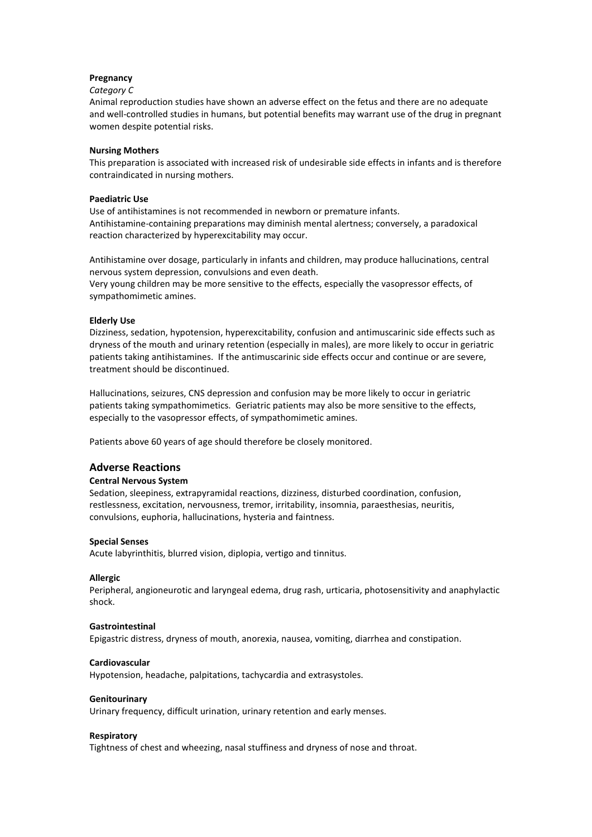## **Pregnancy**

#### *Category C*

Animal reproduction studies have shown an adverse effect on the fetus and there are no adequate and well-controlled studies in humans, but potential benefits may warrant use of the drug in pregnant women despite potential risks.

## **Nursing Mothers**

This preparation is associated with increased risk of undesirable side effects in infants and is therefore contraindicated in nursing mothers.

#### **Paediatric Use**

Use of antihistamines is not recommended in newborn or premature infants. Antihistamine-containing preparations may diminish mental alertness; conversely, a paradoxical reaction characterized by hyperexcitability may occur.

Antihistamine over dosage, particularly in infants and children, may produce hallucinations, central nervous system depression, convulsions and even death. Very young children may be more sensitive to the effects, especially the vasopressor effects, of sympathomimetic amines.

## **Elderly Use**

Dizziness, sedation, hypotension, hyperexcitability, confusion and antimuscarinic side effects such as dryness of the mouth and urinary retention (especially in males), are more likely to occur in geriatric patients taking antihistamines. If the antimuscarinic side effects occur and continue or are severe, treatment should be discontinued.

Hallucinations, seizures, CNS depression and confusion may be more likely to occur in geriatric patients taking sympathomimetics. Geriatric patients may also be more sensitive to the effects, especially to the vasopressor effects, of sympathomimetic amines.

Patients above 60 years of age should therefore be closely monitored.

## **Adverse Reactions**

## **Central Nervous System**

Sedation, sleepiness, extrapyramidal reactions, dizziness, disturbed coordination, confusion, restlessness, excitation, nervousness, tremor, irritability, insomnia, paraesthesias, neuritis, convulsions, euphoria, hallucinations, hysteria and faintness.

## **Special Senses**

Acute labyrinthitis, blurred vision, diplopia, vertigo and tinnitus.

## **Allergic**

Peripheral, angioneurotic and laryngeal edema, drug rash, urticaria, photosensitivity and anaphylactic shock.

#### **Gastrointestinal**

Epigastric distress, dryness of mouth, anorexia, nausea, vomiting, diarrhea and constipation.

## **Cardiovascular**

Hypotension, headache, palpitations, tachycardia and extrasystoles.

#### **Genitourinary**

Urinary frequency, difficult urination, urinary retention and early menses.

#### **Respiratory**

Tightness of chest and wheezing, nasal stuffiness and dryness of nose and throat.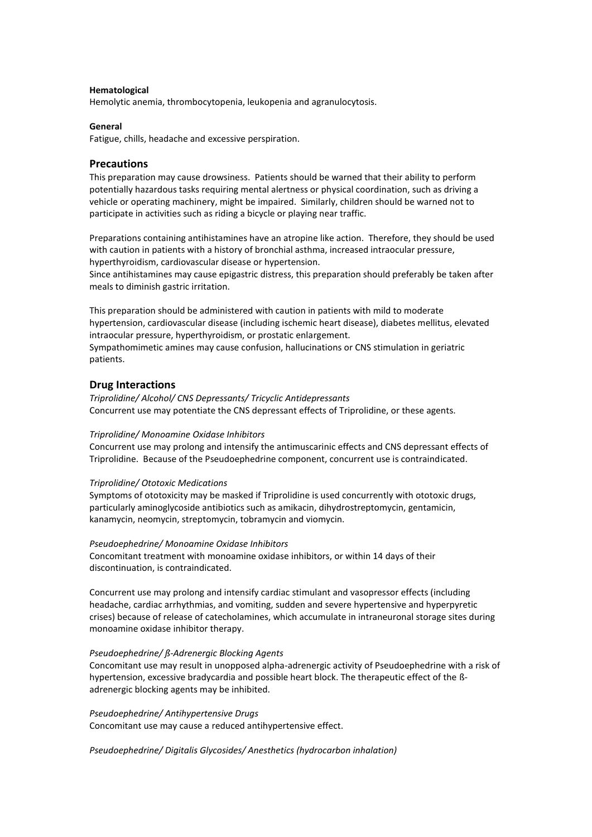#### **Hematological**

Hemolytic anemia, thrombocytopenia, leukopenia and agranulocytosis.

#### **General**

Fatigue, chills, headache and excessive perspiration.

## **Precautions**

This preparation may cause drowsiness. Patients should be warned that their ability to perform potentially hazardous tasks requiring mental alertness or physical coordination, such as driving a vehicle or operating machinery, might be impaired. Similarly, children should be warned not to participate in activities such as riding a bicycle or playing near traffic.

Preparations containing antihistamines have an atropine like action. Therefore, they should be used with caution in patients with a history of bronchial asthma, increased intraocular pressure, hyperthyroidism, cardiovascular disease or hypertension.

Since antihistamines may cause epigastric distress, this preparation should preferably be taken after meals to diminish gastric irritation.

This preparation should be administered with caution in patients with mild to moderate hypertension, cardiovascular disease (including ischemic heart disease), diabetes mellitus, elevated intraocular pressure, hyperthyroidism, or prostatic enlargement. Sympathomimetic amines may cause confusion, hallucinations or CNS stimulation in geriatric patients.

#### **Drug Interactions**

*Triprolidine/ Alcohol/ CNS Depressants/ Tricyclic Antidepressants* Concurrent use may potentiate the CNS depressant effects of Triprolidine, or these agents.

#### *Triprolidine/ Monoamine Oxidase Inhibitors*

Concurrent use may prolong and intensify the antimuscarinic effects and CNS depressant effects of Triprolidine. Because of the Pseudoephedrine component, concurrent use is contraindicated.

#### *Triprolidine/ Ototoxic Medications*

Symptoms of ototoxicity may be masked if Triprolidine is used concurrently with ototoxic drugs, particularly aminoglycoside antibiotics such as amikacin, dihydrostreptomycin, gentamicin, kanamycin, neomycin, streptomycin, tobramycin and viomycin.

#### *Pseudoephedrine/ Monoamine Oxidase Inhibitors*

Concomitant treatment with monoamine oxidase inhibitors, or within 14 days of their discontinuation, is contraindicated.

Concurrent use may prolong and intensify cardiac stimulant and vasopressor effects (including headache, cardiac arrhythmias, and vomiting, sudden and severe hypertensive and hyperpyretic crises) because of release of catecholamines, which accumulate in intraneuronal storage sites during monoamine oxidase inhibitor therapy.

#### *Pseudoephedrine/ ß-Adrenergic Blocking Agents*

Concomitant use may result in unopposed alpha-adrenergic activity of Pseudoephedrine with a risk of hypertension, excessive bradycardia and possible heart block. The therapeutic effect of the ßadrenergic blocking agents may be inhibited.

*Pseudoephedrine/ Antihypertensive Drugs*

Concomitant use may cause a reduced antihypertensive effect.

*Pseudoephedrine/ Digitalis Glycosides/ Anesthetics (hydrocarbon inhalation)*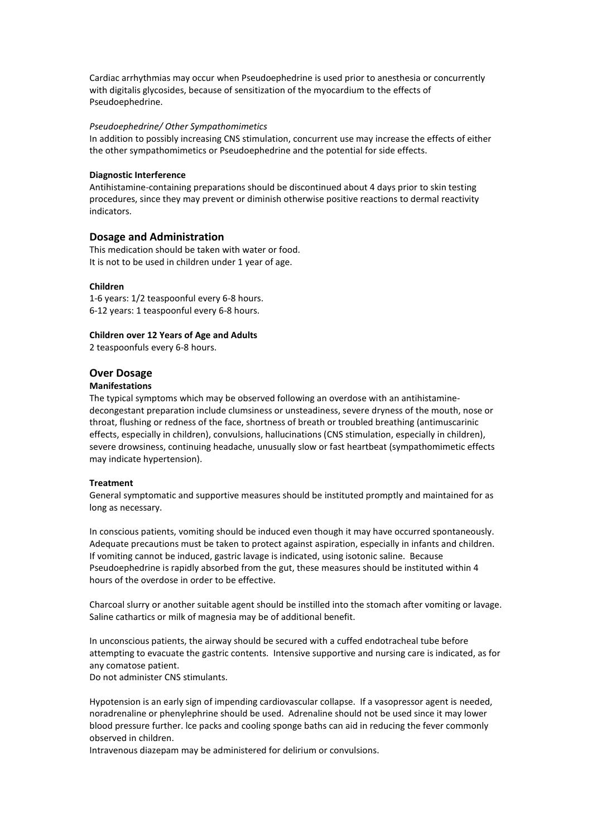Cardiac arrhythmias may occur when Pseudoephedrine is used prior to anesthesia or concurrently with digitalis glycosides, because of sensitization of the myocardium to the effects of Pseudoephedrine.

#### *Pseudoephedrine/ Other Sympathomimetics*

In addition to possibly increasing CNS stimulation, concurrent use may increase the effects of either the other sympathomimetics or Pseudoephedrine and the potential for side effects.

#### **Diagnostic Interference**

Antihistamine-containing preparations should be discontinued about 4 days prior to skin testing procedures, since they may prevent or diminish otherwise positive reactions to dermal reactivity indicators.

#### **Dosage and Administration**

This medication should be taken with water or food. It is not to be used in children under 1 year of age.

#### **Children**

1-6 years: 1/2 teaspoonful every 6-8 hours. 6-12 years: 1 teaspoonful every 6-8 hours.

#### **Children over 12 Years of Age and Adults**

2 teaspoonfuls every 6-8 hours.

#### **Over Dosage**

### **Manifestations**

The typical symptoms which may be observed following an overdose with an antihistaminedecongestant preparation include clumsiness or unsteadiness, severe dryness of the mouth, nose or throat, flushing or redness of the face, shortness of breath or troubled breathing (antimuscarinic effects, especially in children), convulsions, hallucinations (CNS stimulation, especially in children), severe drowsiness, continuing headache, unusually slow or fast heartbeat (sympathomimetic effects may indicate hypertension).

#### **Treatment**

General symptomatic and supportive measures should be instituted promptly and maintained for as long as necessary.

In conscious patients, vomiting should be induced even though it may have occurred spontaneously. Adequate precautions must be taken to protect against aspiration, especially in infants and children. If vomiting cannot be induced, gastric lavage is indicated, using isotonic saline. Because Pseudoephedrine is rapidly absorbed from the gut, these measures should be instituted within 4 hours of the overdose in order to be effective.

Charcoal slurry or another suitable agent should be instilled into the stomach after vomiting or lavage. Saline cathartics or milk of magnesia may be of additional benefit.

In unconscious patients, the airway should be secured with a cuffed endotracheal tube before attempting to evacuate the gastric contents. Intensive supportive and nursing care is indicated, as for any comatose patient.

Do not administer CNS stimulants.

Hypotension is an early sign of impending cardiovascular collapse. If a vasopressor agent is needed, noradrenaline or phenylephrine should be used. Adrenaline should not be used since it may lower blood pressure further. lce packs and cooling sponge baths can aid in reducing the fever commonly observed in children.

Intravenous diazepam may be administered for delirium or convulsions.